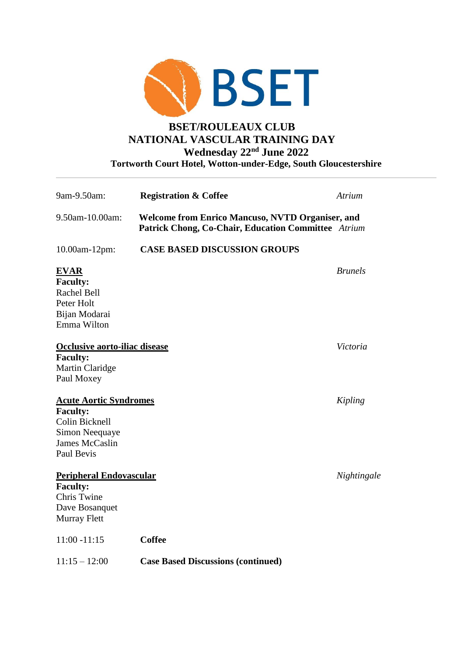

## **BSET/ROULEAUX CLUB NATIONAL VASCULAR TRAINING DAY Wednesday 22nd June 2022 Tortworth Court Hotel, Wotton-under-Edge, South Gloucestershire**

| 9am-9.50am:                                                                                                          | <b>Registration &amp; Coffee</b>                                                                               | Atrium         |
|----------------------------------------------------------------------------------------------------------------------|----------------------------------------------------------------------------------------------------------------|----------------|
| 9.50am-10.00am:                                                                                                      | <b>Welcome from Enrico Mancuso, NVTD Organiser, and</b><br>Patrick Chong, Co-Chair, Education Committee Atrium |                |
| 10.00am-12pm:                                                                                                        | <b>CASE BASED DISCUSSION GROUPS</b>                                                                            |                |
| <b>EVAR</b><br><b>Faculty:</b><br>Rachel Bell<br>Peter Holt<br>Bijan Modarai<br>Emma Wilton                          |                                                                                                                | <b>Brunels</b> |
| Occlusive aorto-iliac disease<br><b>Faculty:</b><br>Martin Claridge<br>Paul Moxey                                    |                                                                                                                | Victoria       |
| <b>Acute Aortic Syndromes</b><br><b>Faculty:</b><br>Colin Bicknell<br>Simon Neequaye<br>James McCaslin<br>Paul Bevis |                                                                                                                | Kipling        |
| <b>Peripheral Endovascular</b><br><b>Faculty:</b><br>Chris Twine<br>Dave Bosanquet<br>Murray Flett                   |                                                                                                                | Nightingale    |
| $11:00 - 11:15$                                                                                                      | <b>Coffee</b>                                                                                                  |                |
| $11:15 - 12:00$                                                                                                      | <b>Case Based Discussions (continued)</b>                                                                      |                |